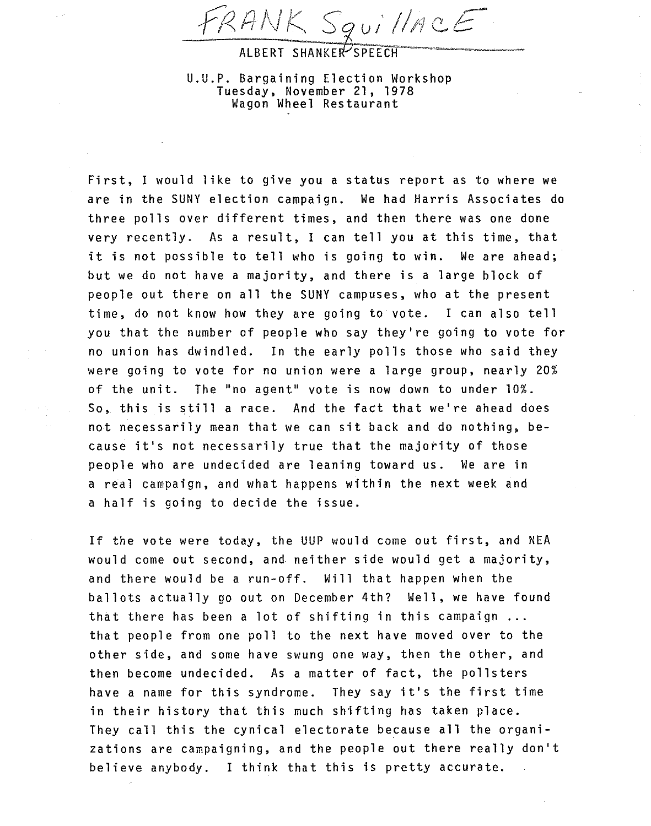*-6<JINK ?\$VIIjIlQ.£* 

ALBERT SHANKER SPEECH

U.U.P. Bargaining Election Workshop Tuesday, November 21, 1978 Wagon Wheel Restaurant

First, I would like to give you a status report as to where we are in the SUNY election campaign. We had Harris Associates do three polls over different times, and then there was one done very recently. As a result, I can tell you at this time, that it is not possible to tell who is going to win. We are ahead; but we do not have a majority, and there is a large block of people out there on all the SUNY campuses, who at the present time, do not know how they are going to vote. I can also tell you that the number of people who say they're going to vote for no union has dwindled. In the early polls those who said they were going to vote for no union were a large group, nearly 20% of the unit. The "no agent" vote is now down to under 10%. So, this is still a race. And the fact that we're ahead does not necessarily mean that we can sit back and do nothing, because it's not necessarily true that the majority of those people who are undecided are leaning toward us. We are in a real campaign, and what happens within the next week and a half is going to decide the issue.

If the vote were today, the UUP would come out first, and NEA would come out second, and neither side would get a majority, and there would be a run-off. Will that happen when the ballots actually go out on December 4th? Well, we have found that there has been a lot of shifting in this campaign ... that people from one poll to the next have moved over to the other side, and some have swung one way, then the other, and then become undecided. As a matter of fact, the pollsters have a name for this syndrome. They say it's the first time in their history that this much shifting has taken place. They call this the cynical electorate because all the organizations are campaigning, and the people out there really don't believe anybody. I think that this is pretty accurate.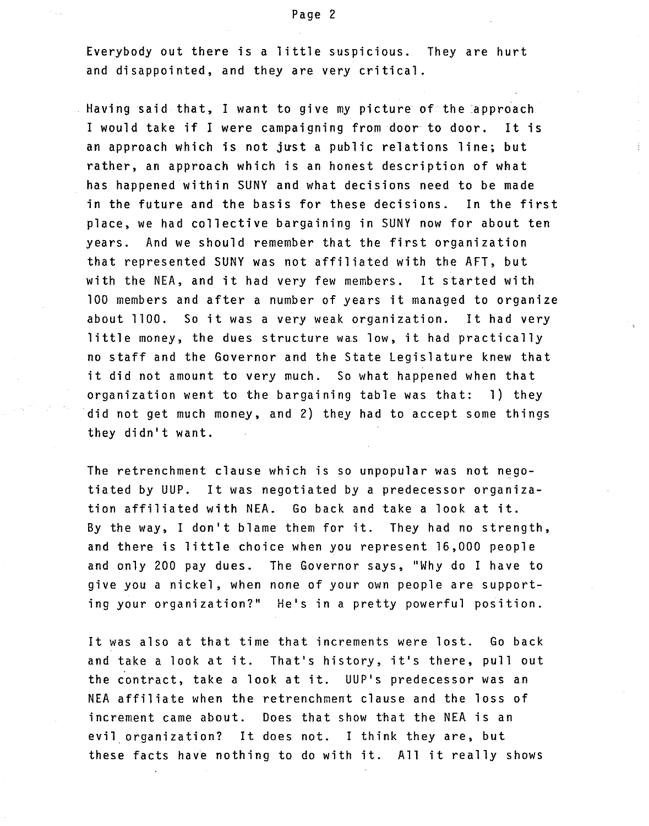Everybody out there is a little suspicious. They are hurt and disappointed, and they are very critical.

Having said that, I want to give my picture of the approach I would take if I were campaigning from door to door. It is an approach which is not just a public relations line; but rather, an approach which is an honest description of what has happened within SUNY and what decisions need to be made in the future and the basis for these decisions. In the first place, we had collective bargaining in SUNY now for about ten years. And we should remember that the first organization that represented SUNY was not affiliated with the AFT, but with the NEA, and it had very few members. It started with 100 members and after a number of years it managed to organize about 1100. So it was a very weak organization. It had very little money, the dues structure was low, it had practically no staff and the Governor and the State Legislature knew that it did not amount to very much. So what happened when that organization went to the bargaining table was that: 1) they did not get much money, and 2) they had to accept some things they didn't want.

The retrenchment clause which is so unpopular was not negotiated by UUP. It was negotiated by a predecessor organization affiliated with NEA. Go back and take a look at it. By the way, I don't blame them for it. They had no strength, and there is little choice when you represent 16,000 people and only 200 pay dues. The Governor says, "Why do I have to give you a nickel, when none of your own people are supporting your organization?" He's in a pretty powerful position.

It was also at that time that increments were lost. Go back and take a look at it. That's history, it's there, pull out the contract, take a look at it. UUP's predecessor was an NEA affiliate when the retrenchment clause and the loss of increment came about. Does that show that the NEA is an evil organization? It does not. I think they are, but these facts have nothing to do with it. All it really shows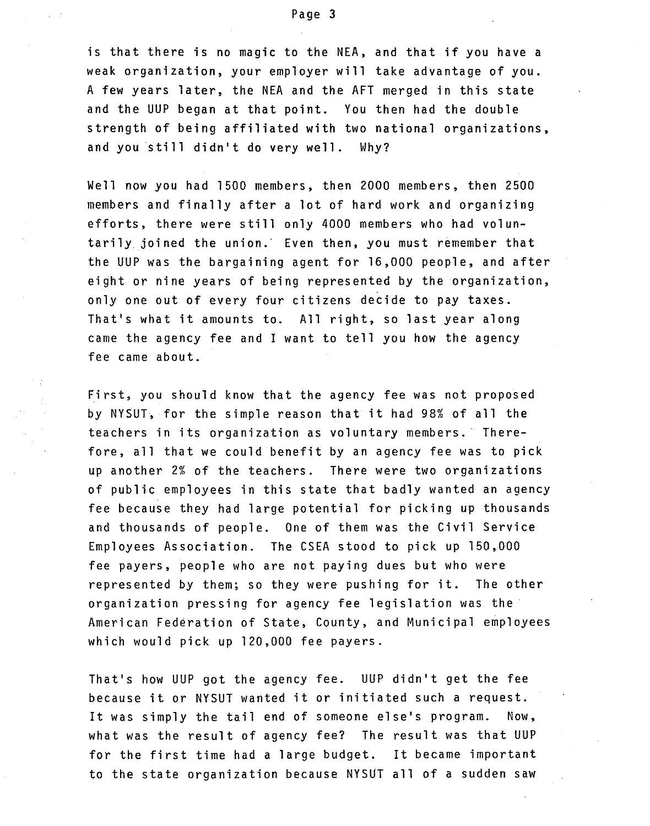is that there is no magic to the NEA, and that if you have a weak organization, your employer will take advantage of you. A few years later, the NEA and the AFT merged in this state and the UUP began at that point. You then had the double strength of being affiliated with two national organizations, and you still didn't do very well. Why?

Well now you had 1500 members, then 2000 members, then 2500 members and finally after a lot of hard work and organizing efforts, there were still only 4000 members who had voluntarily joined the union.' Even then, you must remember that the UUP was the bargaining agent for 16,000 people, and after eight or nine years of being represented by the organization, only one out of every four citizens decide to pay taxes. That's what it amounts to. All right, so last year along came the agency fee and I want to tell you how the agency fee came about.

First, you should know that the agency fee was not proposed by NYSUT, for the simple reason that it had 98% of all the teachers in its organization as voluntary members.' Therefore, all that we could benefit by an agency fee was to pick up another 2% of the teachers. There were two organizations of public employees in this state that badly wanted an agency fee because they had large potential for picking up thousands and thousands of people. One of them was the Civil Service Employees Association. The CSEA stood to pick up 150,000 fee payers, people who are not paying dues but who were represented by them; so they were pushing for it. The other organization pressing for agency fee legislation was the' American Federation of State, County, and Municipal employees which would pick up 120,000 fee payers.

That's how UUP got the agency fee. UUP didn't get the fee because it or NYSUT wanted it or initiated such a request. It was simply the tail end of someone else's program. Now, what was the result of agency fee? The result was that UUP for the first time had a large budget. It became important to the state organization because NYSUT all of a sudden saw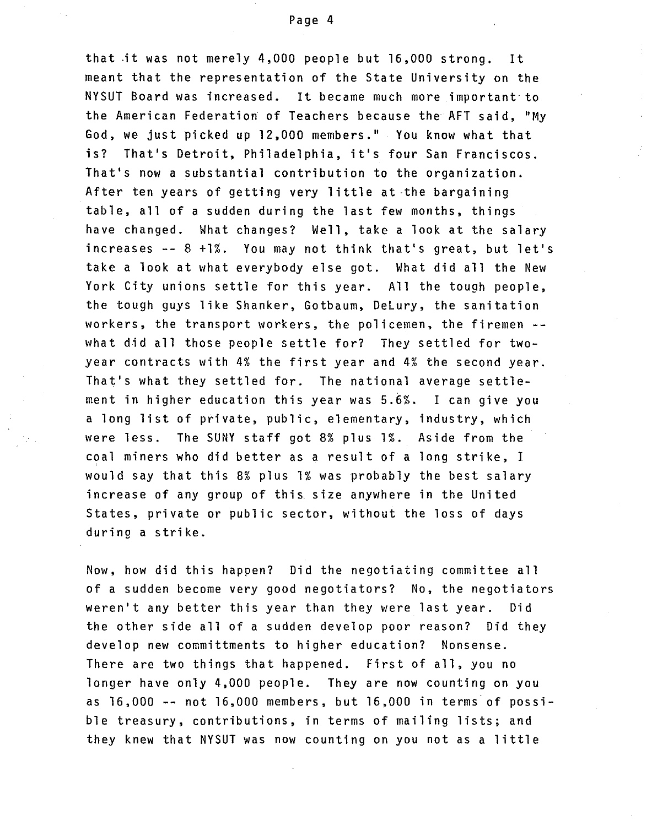that .it was not merely 4,000 people but 16,000 strong. It meant that the representation of the State University on the NYSUT Board was increased. It became much more important to the American Federation of Teachers because the AFT said, "My God, we just picked up 12,000 members." You know what that is? That's Detroit, Philadelphia, it's four San Franciscos. That's now a substantial contribution to the organization. After ten years of getting very little at·the bargaining table, all of a sudden during the last few months, things have changed. What changes? Well, take a look at the salary increases -- 8 +1%. You may not think that's great, but let's take a look at what everybody else got. What did all the New York City unions settle for this year. All the tough people, the tough guys like Shanker, Gotbaum, DeLury, the sanitation workers, the transport workers, the policemen, the firemen - what did all those people settle for? They settled for twoyear contracts with 4% the first year and 4% the second year. That's what they settled for. The national average settlement in higher education this year was 5.6%. I can give you a long list of private, public, elementary, industry, which were less. The SUNY staff got 8% plus 1%. Aside from the coal miners who did better as a result of a long strike, I would say that this 8% plus 1% was probably the best salary increase of any group of this. size anywhere in the United States, private or public sector, without the loss of days during a strike.

Now, how did this happen? Did the negotiating committee all of a sudden become very good negotiators? No, the negotiators weren't any better this year than they were last year. Did the other side all of a sudden develop poor reason? Did they develop new committments to higher education? Nonsense. There are two things that happened. First of all, you no longer have only 4,000 people. They are now counting on you as 16,000 -- not 16,000 members, but 16,000 in terms of possible treasury, contributions, in terms of mailing lists; and they knew that NYSUT was now counting on you not as a little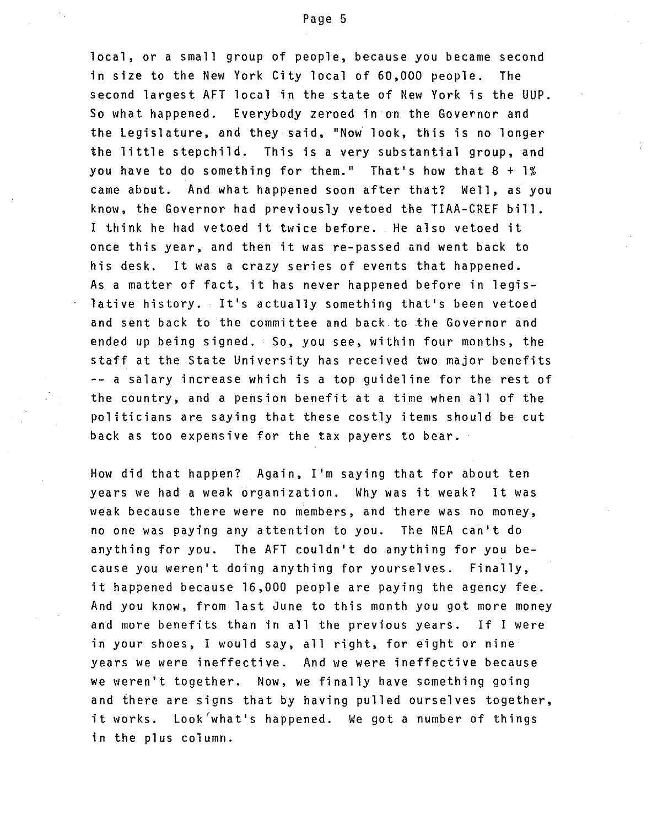local, or a small group of people, because you became second in size to the New York City local of 60,000 people. The second largest AFT local in the state of New York is the UUP. So what happened. Everybody zeroed in on the Governor and the Legislature, and they said, "Now look, this is no longer the little stepchild. This is a very substantial group, and you have to do something for them." That's how that 8 + 1% came about. And what happened soon after that? Well, as you know, the Governor had previously vetoed the TIAA-CREF bill. I think he had vetoed it twice before. He also vetoed it once this year, and then it was re-passed and went back to his desk. It was a crazy series of events that happened. As a matter of fact, it has never happened before in legislative history. It's actually something that's been vetoed and sent back to the committee and back to the Governor and ended up being signed. So, you see, within four months, the staff at the State University has received two major benefits -- a salary increase which is a top guideline for the rest of the country, and a pension benefit at a time when all of the politicians are saying that these costly items should be cut back as too expensive for the tax payers to bear.

How did that happen? Again, I'm saying that for about ten years we had a weak organization. Why was it weak? It was weak because there were no members, and there was no money, no one was paying any attention to you. The NEA can't do anything for you. The AFT couldn't do anything for you because you weren't doing anything for yourselves. Finally, it happened because 16,000 people are paying the agency fee. And you know, from last June to this month you got more money and more benefits than in all the previous years. If I were in your shoes, I would say, all right, for eight or nine years we were ineffective. And we were ineffective because we weren't together. Now, we finally have something going and there are signs that by having pulled ourselves together, it works. Look'what's happened. We got a number of things in the plus column.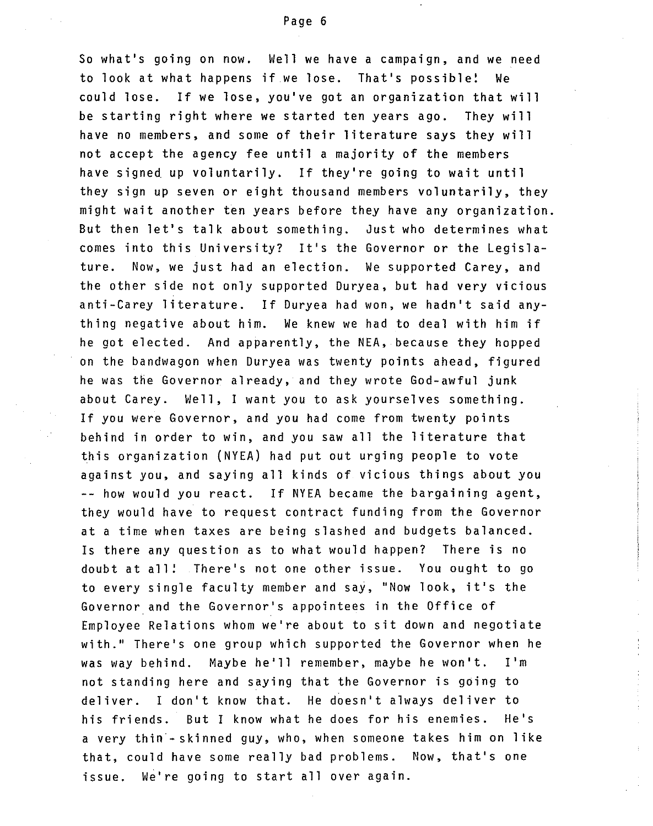So what's going on now. Well we have a campaign, and we need to look at what happens if we lose. That's possible! We could lose. If we lose, you've got an organization that will be starting right where we started ten years ago. They will have no members, and some of their literature says they will not accept the agency fee until a majority of the members have signed up voluntarily. If they're going to wait until they sign up seven or eight thousand members voluntarily, they might wait another ten years before they have any organization. But then let's talk about something. Just who determines what comes into this University? It's the Governor or the Legislature. Now, we just had an election. We supported Carey, and the other side not only supported Duryea, but had very vicious anti-Carey literature. If Duryea had won, we hadn't said anything negative about him. We knew we had to deal with him if he got elected. And apparently, the NEA, because they hopped on the bandwagon when Duryea was twenty points ahead, figured he was the Governor already, and they wrote God-awful junk about Carey. Well, I want you to ask yourselves something. If you were Governor, and you had come from twenty points behind in order to win, and you sawall the literature that this organization (NYEA) had put out urging people to vote against you, and saying all kinds of vicious things about you -- how would you react. If NYEA became the bargaining agent, they would have to request contract funding from the Governor at a time when taxes are being slashed and budgets balanced. Is there any question as to what would happen? There is no doubt at all! There's not one other issue. You ought to go to every single faculty member and say, "Now look, it's the Governor and the Governor's appointees in the Office of Employee Relations whom we're about to sit down and negotiate with." There's one group which supported the Governor when he was way behind. Maybe he'll remember, maybe he won't. I'm not standing here and saying that the Governor is going to deliver. I don't know that. He doesn't always deliver to his friends. But I know what he does for his enemies. He's a very thin-skinned guy, who, when someone takes him on like that, could have some really bad problems. Now, that's one issue. We're going to start allover again.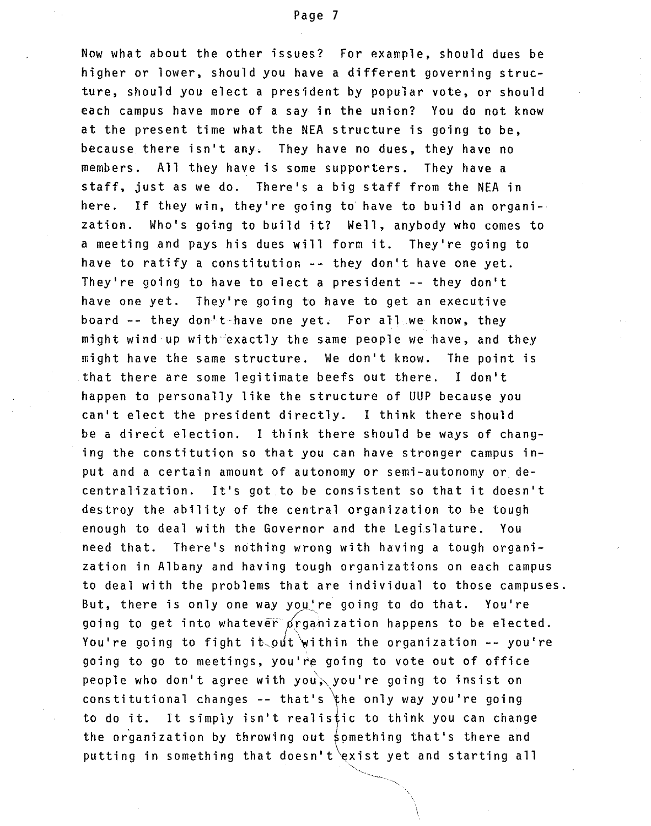Now what about the other issues? For example, should dues be higher or lower, should you have a different governing structure, should you elect a president by popular vote, or should each campus have more of a say in the union? You do not know at the present time what the NEA structure is going to be, because there isn't any. They have no dues, they have no members. All they have is some supporters. They have a staff, just as we do. There's a big staff from the NEA in here. If they win, they're going to have to build an organization. Who's going to build it? Well, anybody who comes to a meeting and pays his dues will form it. They're going to have to ratify a constitution -- they don't have one yet. They're going to have to elect a president -- they don't have one yet. They're going to have to get an executive board -- they don't have one yet. For all we know, they might wind up with exactly the same people we have, and they might have the same structure. We don't know. The point is that there are some legitimate beefs out there. I don't happen to personally like the structure of UUP because you can't elect the president directly. I think there should be a direct election. I think there should be ways of changing the constitution so that you can have stronger campus input and a certain amount of autonomy or semi-autonomy or decentralization. It's got to be consistent so that it doesn't destroy the ability of the central organization to be tough enough to deal with the Governor and the Legislature. You need that. There's nothing wrong with having a tough organization in Albany and having tough organizations on each campus to deal with the problems that are individual to those campuses. But, there is only one way you're going to do that. You're going to get into whatever  $\beta$ rganization happens to be elected. You're going to fight it out within the organization  $-$ - you're going to go to meetings, you're going to vote out of office people who don't agree with you, you're going to insist on constitutional changes -- that's the only way you're going to do it. It simply isn't realistic to think you can change the organization by throwing out something that's there and putting in something that doesn't exist yet and starting all

\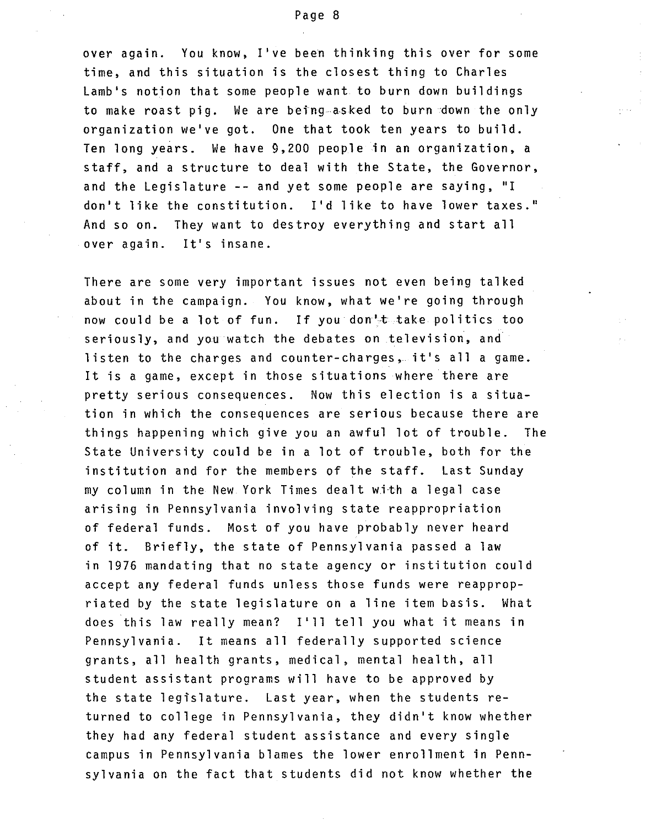## Page 8

over again. You know, I've been thinking this over for some time, and this situation is the closest thing to Charles Lamb's notion that some people want to burn down buildings to make roast pig. We are being asked to burn down the only organization we've got. One that took ten years to build. Ten long years. We have 9,200 people in an organization, a staff, and a structure to deal with the State, the Governor, and the Legislature **--** and yet some people are saying, "I don't like the constitution. I'd like to have lower taxes." And so on. They want to destroy everything and start all over again. It's insane.

There are some very important issues not even being talked about in the campaign. You know, what we're going through now could be a lot of fun. If you don't take politics too seriously, and you watch the debates on television, and listen to the charges and counter-charges, it's all a game. It is a game, except in those situations where there are pretty serious consequences. Now this election is a situation in which the consequences are serious because there are things happening which give you an awful lot of trouble. The State University could be in a lot of trouble, both for the institution and for the members of the staff. Last Sunday my column in the New York Times dealt with a legal case arising in Pennsylvania involving state reappropriation of federal funds. Most of you have probably never heard of it. Briefly, the state of Pennsylvania passed a law in 1976 mandating that no state agency or institution could accept any federal funds unless those funds were reappropriated by the state legislature on a line item basis. What does this law really mean? I'll tell you what it means in Pennsylvania. It means all federally supported science grants, all health grants, medical, mental health, all student assistant programs will have to be approved by the state legislature. Last year, when the students returned to college in Pennsylvania, they didn't know whether they had any federal student assistance and every single campus in Pennsylvania blames the lower enrollment in Pennsylvania on the fact that students did not know whether the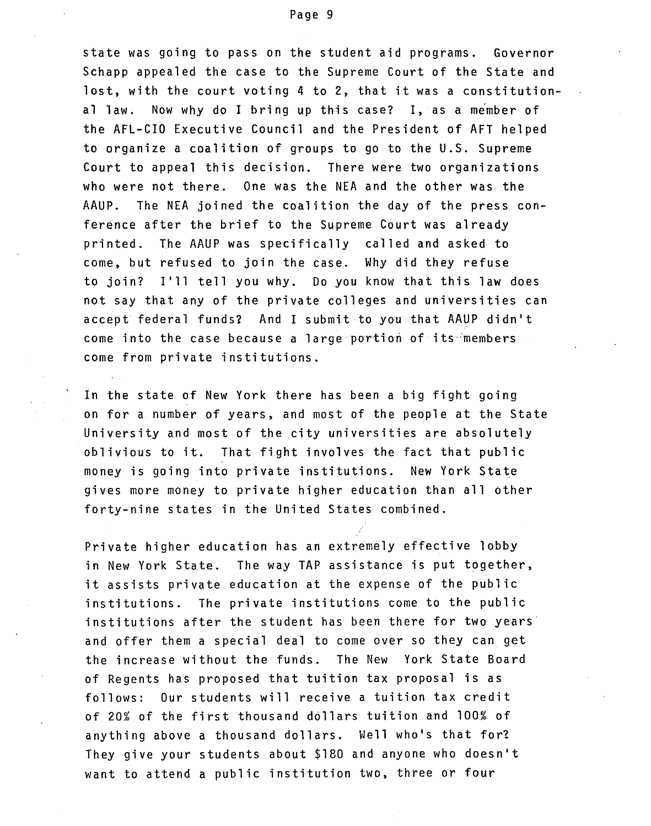state was going to pass on the student aid programs. Governor Schapp appealed the case to the Supreme Court of the State and lost, with the court voting 4 to 2, that it was a constitutional law. Now why do I bring up this case? I, as a member of the AFL-CIO Executive Council and the President of AFT helped to organize a coalition of groups to go to the U.S. Supreme Court to appeal this decision. There were two organizations who were not there. One was the NEA and the other was the AAUP. The NEA joined the coalition the day of the press conference after the brief to the Supreme Court was already printed. The AAUP was specifically called and asked to come, but refused to join the case. Why did they refuse to join? I'll tell you why. Do you know that this law does not say that any of the private colleges and universities can accept federal funds? And I submit to you that AAUP didn't come into the case because a large portion of its members come from private institutions.

In the state of New York there has been a big fight going on for a number of years, and most of the people at the State University and most of the city universities are absolutely oblivious to it. That fight involves the fact that public money is going into private institutions. New York State gives more money to private higher education than all other forty-nine states in the United States combined.

Private higher education has an extremely effective lobby in New York State. The way TAP assistance is put together, it assists private education at the expense of the public institutions. The private institutions come to the public institutions after the student has been there for two years and offer them a special deal to come over so they can get the increase without the funds. The New York State Board of Regents has proposed that tuition tax proposal is as follows: Our students will receive a tuition tax credit of 20% of the first thousand dollars tuition and 100% of anything above a thousand dollars. Well who's that for? They give your students about \$180 and anyone who doesn't want to attend a public institution two, three or four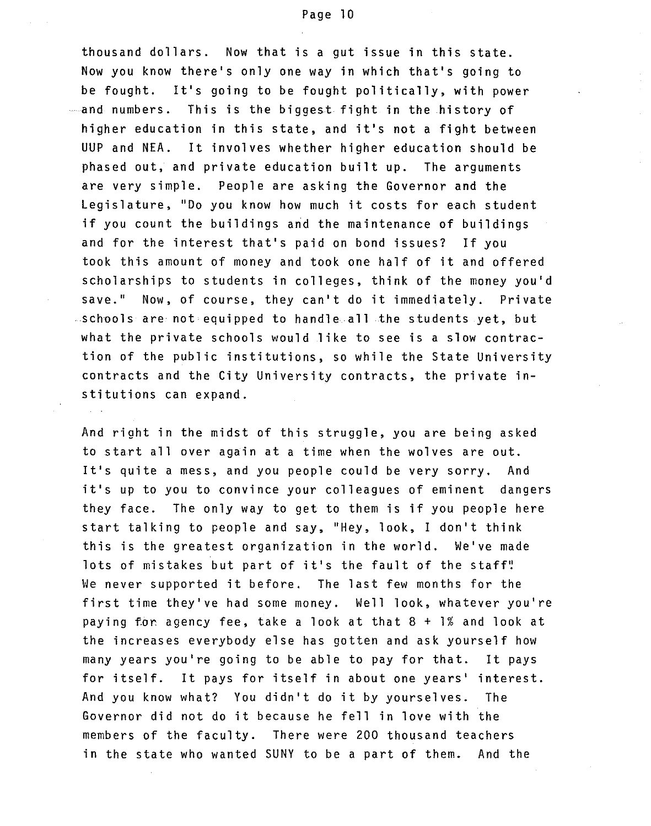thousand dollars. Now that is a gut issue in this state. Now you know there's only one way in which that's going to be fought. It's going to be fought politically, with power and numbers. This is the biggest fight in the history of higher education in this state, and it's not a fight between UUP and NEA. It involves whether higher education should be phased out, and private education built up. The arguments are very simple. People are asking the Governor and the Legislature, "Do you know how much it costs for each student if you count the buildings and the maintenance of buildings and for the interest that's paid on bond issues? If you took this amount of money and took one half of it and offered scholarships to students in colleges, think of the money you'd save." Now, of course, they can't do it immediately. Private schools are not equipped to handle all the students yet, but what the private schools would like to see is a slow contraction of the public institutions, so while the State University contracts and the City University contracts, the private institutions can expand.

And right in the midst of this struggle, you are being asked to start allover again at a time when the wolves are out. It's quite a mess, and you people could be very sorry. And it's up to you to convince your colleagues of eminent dangers they face. The only way to get to them is if you people here start talking to people and say, "Hey, look, I don't think this is the greatest organization in the world. We've made lots of mistakes but part of it's the fault of the staff! We never supported it before. The last few months for the first time they've had some money. Well look, whatever you're paying for agency fee, take a look at that 8 + 1% and look at the increases everybody else has gotten and ask yourself how many years you're going to be able to pay for that. It pays for itself. It pays for itself in about one years' interest. And you know what? You didn't do it by yourselves. The Governor did not do it because he fell in love with the members of the faculty. There were 200 thousand teachers in the state who wanted SUNY to be a part of them. And the